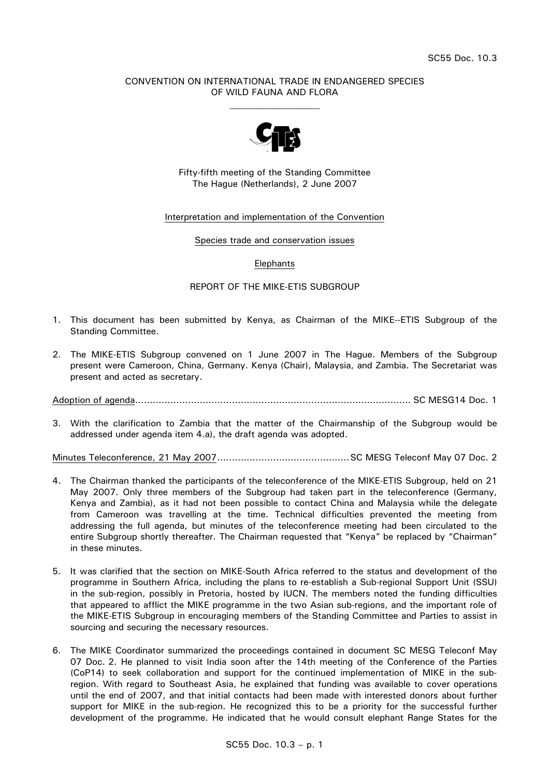## CONVENTION ON INTERNATIONAL TRADE IN ENDANGERED SPECIES OF WILD FAUNA AND FLORA



Fifty-fifth meeting of the Standing Committee The Hague (Netherlands), 2 June 2007

### Interpretation and implementation of the Convention

#### Species trade and conservation issues

### Elephants

### REPORT OF THE MIKE-ETIS SUBGROUP

- 1. This document has been submitted by Kenya, as Chairman of the MIKE--ETIS Subgroup of the Standing Committee.
- 2. The MIKE-ETIS Subgroup convened on 1 June 2007 in The Hague. Members of the Subgroup present were Cameroon, China, Germany. Kenya (Chair), Malaysia, and Zambia. The Secretariat was present and acted as secretary.

Adoption of agenda.............................................................................................. SC MESG14 Doc. 1

3. With the clarification to Zambia that the matter of the Chairmanship of the Subgroup would be addressed under agenda item 4.a), the draft agenda was adopted.

Minutes Teleconference, 21 May 2007.............................................SC MESG Teleconf May 07 Doc. 2

- 4. The Chairman thanked the participants of the teleconference of the MIKE-ETIS Subgroup, held on 21 May 2007. Only three members of the Subgroup had taken part in the teleconference (Germany, Kenya and Zambia), as it had not been possible to contact China and Malaysia while the delegate from Cameroon was travelling at the time. Technical difficulties prevented the meeting from addressing the full agenda, but minutes of the teleconference meeting had been circulated to the entire Subgroup shortly thereafter. The Chairman requested that "Kenya" be replaced by "Chairman" in these minutes.
- 5. It was clarified that the section on MIKE-South Africa referred to the status and development of the programme in Southern Africa, including the plans to re-establish a Sub-regional Support Unit (SSU) in the sub-region, possibly in Pretoria, hosted by IUCN. The members noted the funding difficulties that appeared to afflict the MIKE programme in the two Asian sub-regions, and the important role of the MIKE-ETIS Subgroup in encouraging members of the Standing Committee and Parties to assist in sourcing and securing the necessary resources.
- 6. The MIKE Coordinator summarized the proceedings contained in document SC MESG Teleconf May 07 Doc. 2. He planned to visit India soon after the 14th meeting of the Conference of the Parties (CoP14) to seek collaboration and support for the continued implementation of MIKE in the subregion. With regard to Southeast Asia, he explained that funding was available to cover operations until the end of 2007, and that initial contacts had been made with interested donors about further support for MIKE in the sub-region. He recognized this to be a priority for the successful further development of the programme. He indicated that he would consult elephant Range States for the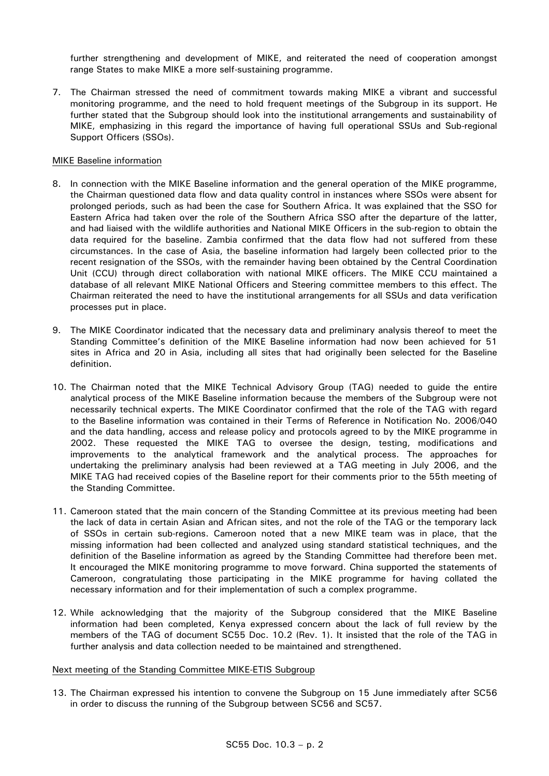further strengthening and development of MIKE, and reiterated the need of cooperation amongst range States to make MIKE a more self-sustaining programme.

7. The Chairman stressed the need of commitment towards making MIKE a vibrant and successful monitoring programme, and the need to hold frequent meetings of the Subgroup in its support. He further stated that the Subgroup should look into the institutional arrangements and sustainability of MIKE, emphasizing in this regard the importance of having full operational SSUs and Sub-regional Support Officers (SSOs).

# MIKE Baseline information

- 8. In connection with the MIKE Baseline information and the general operation of the MIKE programme, the Chairman questioned data flow and data quality control in instances where SSOs were absent for prolonged periods, such as had been the case for Southern Africa. It was explained that the SSO for Eastern Africa had taken over the role of the Southern Africa SSO after the departure of the latter, and had liaised with the wildlife authorities and National MIKE Officers in the sub-region to obtain the data required for the baseline. Zambia confirmed that the data flow had not suffered from these circumstances. In the case of Asia, the baseline information had largely been collected prior to the recent resignation of the SSOs, with the remainder having been obtained by the Central Coordination Unit (CCU) through direct collaboration with national MIKE officers. The MIKE CCU maintained a database of all relevant MIKE National Officers and Steering committee members to this effect. The Chairman reiterated the need to have the institutional arrangements for all SSUs and data verification processes put in place.
- 9. The MIKE Coordinator indicated that the necessary data and preliminary analysis thereof to meet the Standing Committee's definition of the MIKE Baseline information had now been achieved for 51 sites in Africa and 20 in Asia, including all sites that had originally been selected for the Baseline definition.
- 10. The Chairman noted that the MIKE Technical Advisory Group (TAG) needed to guide the entire analytical process of the MIKE Baseline information because the members of the Subgroup were not necessarily technical experts. The MIKE Coordinator confirmed that the role of the TAG with regard to the Baseline information was contained in their Terms of Reference in Notification No. 2006/040 and the data handling, access and release policy and protocols agreed to by the MIKE programme in 2002. These requested the MIKE TAG to oversee the design, testing, modifications and improvements to the analytical framework and the analytical process. The approaches for undertaking the preliminary analysis had been reviewed at a TAG meeting in July 2006, and the MIKE TAG had received copies of the Baseline report for their comments prior to the 55th meeting of the Standing Committee.
- 11. Cameroon stated that the main concern of the Standing Committee at its previous meeting had been the lack of data in certain Asian and African sites, and not the role of the TAG or the temporary lack of SSOs in certain sub-regions. Cameroon noted that a new MIKE team was in place, that the missing information had been collected and analyzed using standard statistical techniques, and the definition of the Baseline information as agreed by the Standing Committee had therefore been met. It encouraged the MIKE monitoring programme to move forward. China supported the statements of Cameroon, congratulating those participating in the MIKE programme for having collated the necessary information and for their implementation of such a complex programme.
- 12. While acknowledging that the majority of the Subgroup considered that the MIKE Baseline information had been completed, Kenya expressed concern about the lack of full review by the members of the TAG of document SC55 Doc. 10.2 (Rev. 1). It insisted that the role of the TAG in further analysis and data collection needed to be maintained and strengthened.

### Next meeting of the Standing Committee MIKE-ETIS Subgroup

13. The Chairman expressed his intention to convene the Subgroup on 15 June immediately after SC56 in order to discuss the running of the Subgroup between SC56 and SC57.